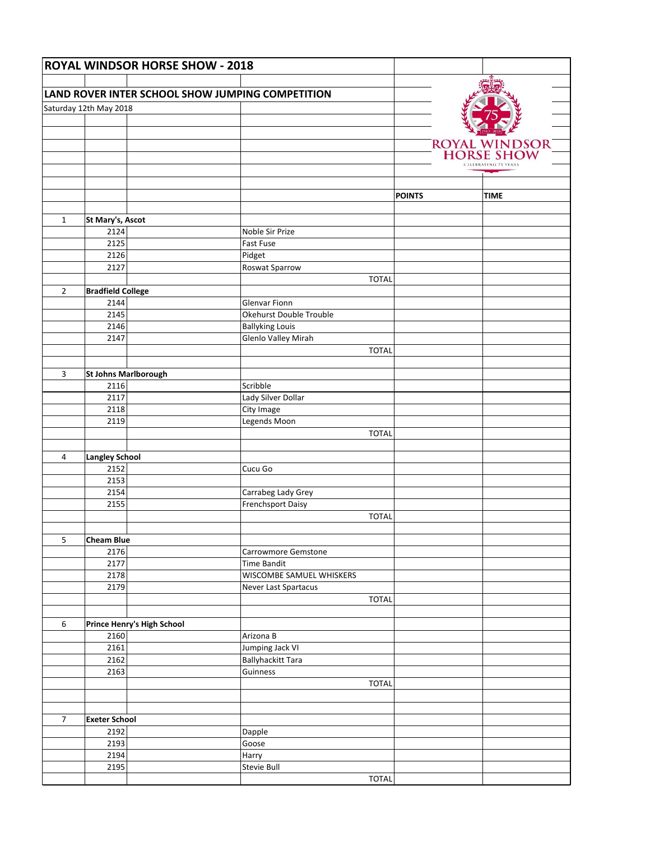| <b>ROYAL WINDSOR HORSE SHOW - 2018</b>           |                              |                            |                          |              |               |                      |
|--------------------------------------------------|------------------------------|----------------------------|--------------------------|--------------|---------------|----------------------|
|                                                  |                              |                            |                          |              |               |                      |
| LAND ROVER INTER SCHOOL SHOW JUMPING COMPETITION |                              |                            |                          |              |               |                      |
|                                                  | Saturday 12th May 2018       |                            |                          |              |               |                      |
|                                                  |                              |                            |                          |              |               |                      |
|                                                  |                              |                            |                          |              |               |                      |
|                                                  |                              |                            |                          |              |               | ROYAL WINDSOR        |
|                                                  |                              |                            |                          |              |               | CELEBRATING 75 YEAR! |
|                                                  |                              |                            |                          |              |               |                      |
|                                                  |                              |                            |                          |              |               |                      |
|                                                  |                              |                            |                          |              | <b>POINTS</b> | <b>TIME</b>          |
|                                                  |                              |                            |                          |              |               |                      |
| $\mathbf{1}$                                     | St Mary's, Ascot<br>2124     |                            | Noble Sir Prize          |              |               |                      |
|                                                  | 2125                         |                            | Fast Fuse                |              |               |                      |
|                                                  | 2126                         |                            | Pidget                   |              |               |                      |
|                                                  | 2127                         |                            | Roswat Sparrow           |              |               |                      |
|                                                  |                              |                            |                          | <b>TOTAL</b> |               |                      |
| $\overline{2}$                                   | <b>Bradfield College</b>     |                            |                          |              |               |                      |
|                                                  | 2144                         |                            | Glenvar Fionn            |              |               |                      |
|                                                  | 2145                         |                            | Okehurst Double Trouble  |              |               |                      |
|                                                  | 2146                         |                            | <b>Ballyking Louis</b>   |              |               |                      |
|                                                  | 2147                         |                            | Glenlo Valley Mirah      |              |               |                      |
|                                                  |                              |                            |                          | <b>TOTAL</b> |               |                      |
|                                                  |                              |                            |                          |              |               |                      |
| 3                                                | St Johns Marlborough<br>2116 |                            | Scribble                 |              |               |                      |
|                                                  | 2117                         |                            | Lady Silver Dollar       |              |               |                      |
|                                                  | 2118                         |                            | City Image               |              |               |                      |
|                                                  | 2119                         |                            | Legends Moon             |              |               |                      |
|                                                  |                              |                            |                          | <b>TOTAL</b> |               |                      |
|                                                  |                              |                            |                          |              |               |                      |
| 4                                                | <b>Langley School</b>        |                            |                          |              |               |                      |
|                                                  | 2152                         |                            | Cucu Go                  |              |               |                      |
|                                                  | 2153                         |                            |                          |              |               |                      |
|                                                  | 2154                         |                            | Carrabeg Lady Grey       |              |               |                      |
|                                                  | 2155                         |                            | <b>Frenchsport Daisy</b> |              |               |                      |
|                                                  |                              |                            |                          | <b>TOTAL</b> |               |                      |
|                                                  |                              |                            |                          |              |               |                      |
| 5                                                | <b>Cheam Blue</b><br>2176    |                            | Carrowmore Gemstone      |              |               |                      |
|                                                  | 2177                         |                            | <b>Time Bandit</b>       |              |               |                      |
|                                                  | 2178                         |                            | WISCOMBE SAMUEL WHISKERS |              |               |                      |
|                                                  | 2179                         |                            | Never Last Spartacus     |              |               |                      |
|                                                  |                              |                            |                          | <b>TOTAL</b> |               |                      |
|                                                  |                              |                            |                          |              |               |                      |
| 6                                                |                              | Prince Henry's High School |                          |              |               |                      |
|                                                  | 2160                         |                            | Arizona B                |              |               |                      |
|                                                  | 2161                         |                            | Jumping Jack VI          |              |               |                      |
|                                                  | 2162                         |                            | <b>Ballyhackitt Tara</b> |              |               |                      |
|                                                  | 2163                         |                            | Guinness                 |              |               |                      |
|                                                  |                              |                            |                          | <b>TOTAL</b> |               |                      |
|                                                  |                              |                            |                          |              |               |                      |
|                                                  |                              |                            |                          |              |               |                      |
| $\overline{7}$                                   | <b>Exeter School</b><br>2192 |                            |                          |              |               |                      |
|                                                  | 2193                         |                            | Dapple<br>Goose          |              |               |                      |
|                                                  | 2194                         |                            | Harry                    |              |               |                      |
|                                                  | 2195                         |                            | Stevie Bull              |              |               |                      |
|                                                  |                              |                            |                          | <b>TOTAL</b> |               |                      |
|                                                  |                              |                            |                          |              |               |                      |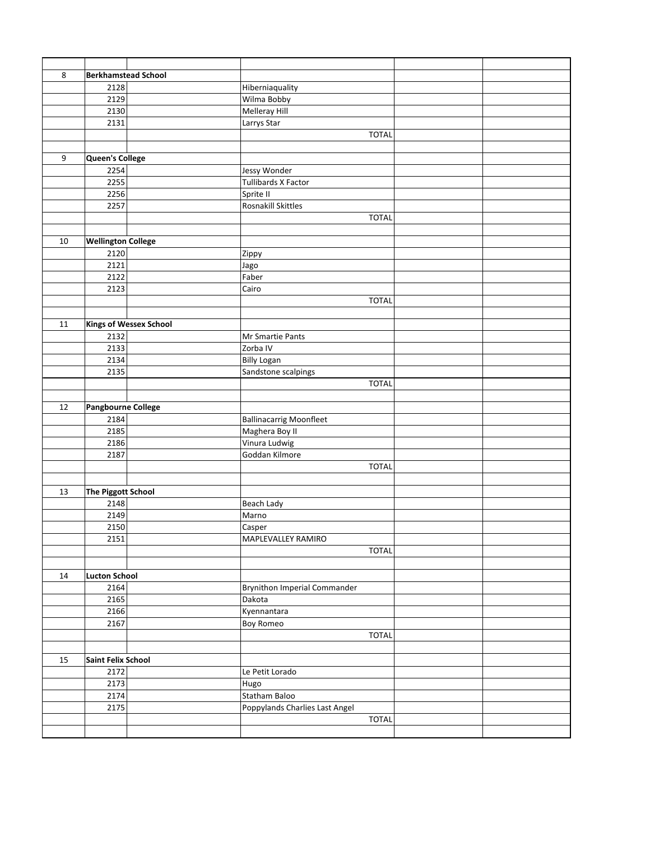| 8  | <b>Berkhamstead School</b>   |                               |                                     |  |
|----|------------------------------|-------------------------------|-------------------------------------|--|
|    | 2128                         |                               | Hiberniaquality                     |  |
|    | 2129                         |                               | Wilma Bobby                         |  |
|    | 2130                         |                               | Melleray Hill                       |  |
|    | 2131                         |                               | Larrys Star                         |  |
|    |                              |                               | <b>TOTAL</b>                        |  |
|    |                              |                               |                                     |  |
| 9  | Queen's College              |                               |                                     |  |
|    | 2254                         |                               | Jessy Wonder                        |  |
|    | 2255                         |                               | <b>Tullibards X Factor</b>          |  |
|    | 2256                         |                               | Sprite II                           |  |
|    | 2257                         |                               | Rosnakill Skittles                  |  |
|    |                              |                               | <b>TOTAL</b>                        |  |
|    |                              |                               |                                     |  |
| 10 | <b>Wellington College</b>    |                               |                                     |  |
|    | 2120                         |                               | Zippy                               |  |
|    | 2121                         |                               | Jago                                |  |
|    | 2122                         |                               | Faber                               |  |
|    | 2123                         |                               | Cairo                               |  |
|    |                              |                               | <b>TOTAL</b>                        |  |
|    |                              |                               |                                     |  |
| 11 |                              | <b>Kings of Wessex School</b> |                                     |  |
|    | 2132                         |                               | Mr Smartie Pants                    |  |
|    | 2133                         |                               | Zorba IV                            |  |
|    | 2134                         |                               | <b>Billy Logan</b>                  |  |
|    | 2135                         |                               | Sandstone scalpings                 |  |
|    |                              |                               | <b>TOTAL</b>                        |  |
|    |                              |                               |                                     |  |
| 12 | Pangbourne College           |                               |                                     |  |
|    | 2184                         |                               | <b>Ballinacarrig Moonfleet</b>      |  |
|    | 2185                         |                               | Maghera Boy II                      |  |
|    | 2186                         |                               | Vinura Ludwig                       |  |
|    | 2187                         |                               | Goddan Kilmore                      |  |
|    |                              |                               | <b>TOTAL</b>                        |  |
|    |                              |                               |                                     |  |
| 13 | <b>The Piggott School</b>    |                               |                                     |  |
|    | 2148                         |                               | Beach Lady                          |  |
|    | 2149<br>2150                 |                               | Marno                               |  |
|    | 2151                         |                               | Casper<br>MAPLEVALLEY RAMIRO        |  |
|    |                              |                               | <b>TOTAL</b>                        |  |
|    |                              |                               |                                     |  |
| 14 |                              |                               |                                     |  |
|    | <b>Lucton School</b><br>2164 |                               | <b>Brynithon Imperial Commander</b> |  |
|    | 2165                         |                               | Dakota                              |  |
|    | 2166                         |                               | Kyennantara                         |  |
|    | 2167                         |                               | <b>Boy Romeo</b>                    |  |
|    |                              |                               | <b>TOTAL</b>                        |  |
|    |                              |                               |                                     |  |
| 15 | Saint Felix School           |                               |                                     |  |
|    | 2172                         |                               | Le Petit Lorado                     |  |
|    | 2173                         |                               | Hugo                                |  |
|    | 2174                         |                               | Statham Baloo                       |  |
|    | 2175                         |                               | Poppylands Charlies Last Angel      |  |
|    |                              |                               | <b>TOTAL</b>                        |  |
|    |                              |                               |                                     |  |
|    |                              |                               |                                     |  |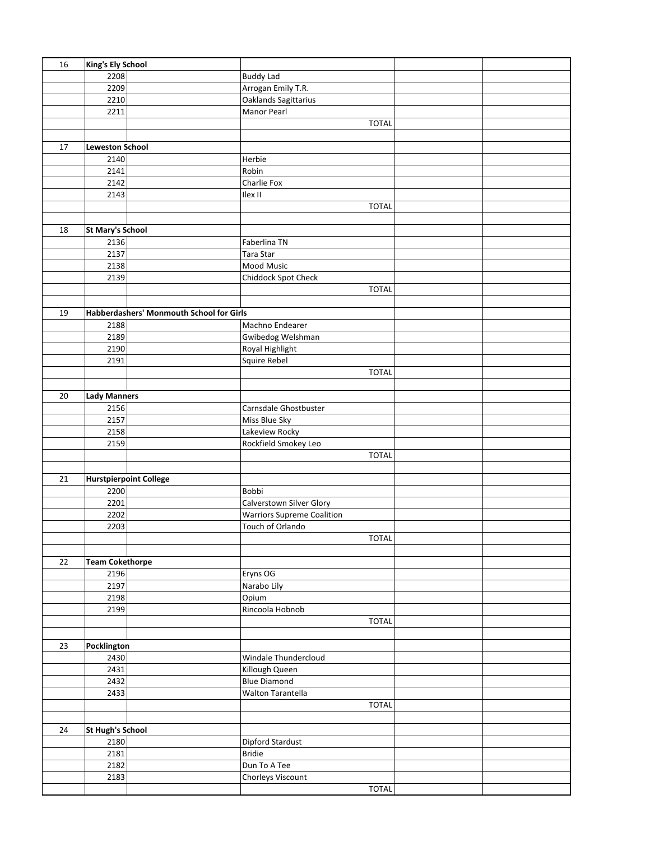| 16 | <b>King's Ely School</b>      |                                          |                                   |  |
|----|-------------------------------|------------------------------------------|-----------------------------------|--|
|    | 2208                          |                                          | <b>Buddy Lad</b>                  |  |
|    | 2209                          |                                          | Arrogan Emily T.R.                |  |
|    | 2210                          |                                          | Oaklands Sagittarius              |  |
|    | 2211                          |                                          | Manor Pearl                       |  |
|    |                               |                                          | <b>TOTAL</b>                      |  |
|    |                               |                                          |                                   |  |
| 17 | <b>Leweston School</b>        |                                          |                                   |  |
|    | 2140                          |                                          | Herbie                            |  |
|    | 2141                          |                                          | Robin                             |  |
|    | 2142                          |                                          | Charlie Fox                       |  |
|    | 2143                          |                                          | Ilex II                           |  |
|    |                               |                                          | <b>TOTAL</b>                      |  |
|    |                               |                                          |                                   |  |
| 18 | <b>St Mary's School</b>       |                                          |                                   |  |
|    | 2136                          |                                          | Faberlina TN                      |  |
|    | 2137                          |                                          | Tara Star                         |  |
|    | 2138                          |                                          | Mood Music                        |  |
|    | 2139                          |                                          | Chiddock Spot Check               |  |
|    |                               |                                          | <b>TOTAL</b>                      |  |
|    |                               |                                          |                                   |  |
| 19 |                               | Habberdashers' Monmouth School for Girls |                                   |  |
|    | 2188                          |                                          | Machno Endearer                   |  |
|    | 2189                          |                                          | Gwibedog Welshman                 |  |
|    | 2190                          |                                          |                                   |  |
|    |                               |                                          | Royal Highlight                   |  |
|    | 2191                          |                                          | Squire Rebel                      |  |
|    |                               |                                          | <b>TOTAL</b>                      |  |
|    |                               |                                          |                                   |  |
| 20 | <b>Lady Manners</b>           |                                          |                                   |  |
|    | 2156                          |                                          | Carnsdale Ghostbuster             |  |
|    | 2157                          |                                          | Miss Blue Sky                     |  |
|    | 2158                          |                                          | Lakeview Rocky                    |  |
|    | 2159                          |                                          | Rockfield Smokey Leo              |  |
|    |                               |                                          | <b>TOTAL</b>                      |  |
|    |                               |                                          |                                   |  |
| 21 | <b>Hurstpierpoint College</b> |                                          |                                   |  |
|    | 2200                          |                                          | Bobbi                             |  |
|    | 2201                          |                                          | Calverstown Silver Glory          |  |
|    | 2202                          |                                          | <b>Warriors Supreme Coalition</b> |  |
|    | 2203                          |                                          | Touch of Orlando                  |  |
|    |                               |                                          | <b>TOTAL</b>                      |  |
|    |                               |                                          |                                   |  |
| 22 | <b>Team Cokethorpe</b>        |                                          |                                   |  |
|    | 2196                          |                                          | Eryns OG                          |  |
|    | 2197                          |                                          | Narabo Lily                       |  |
|    | 2198                          |                                          | Opium                             |  |
|    | 2199                          |                                          | Rincoola Hobnob                   |  |
|    |                               |                                          | <b>TOTAL</b>                      |  |
|    |                               |                                          |                                   |  |
| 23 | Pocklington                   |                                          |                                   |  |
|    | 2430                          |                                          | Windale Thundercloud              |  |
|    | 2431                          |                                          | Killough Queen                    |  |
|    | 2432                          |                                          | <b>Blue Diamond</b>               |  |
|    | 2433                          |                                          | Walton Tarantella                 |  |
|    |                               |                                          | <b>TOTAL</b>                      |  |
|    |                               |                                          |                                   |  |
| 24 | <b>St Hugh's School</b>       |                                          |                                   |  |
|    | 2180                          |                                          | Dipford Stardust                  |  |
|    | 2181                          |                                          | <b>Bridie</b>                     |  |
|    | 2182                          |                                          | Dun To A Tee                      |  |
|    | 2183                          |                                          | Chorleys Viscount                 |  |
|    |                               |                                          | <b>TOTAL</b>                      |  |